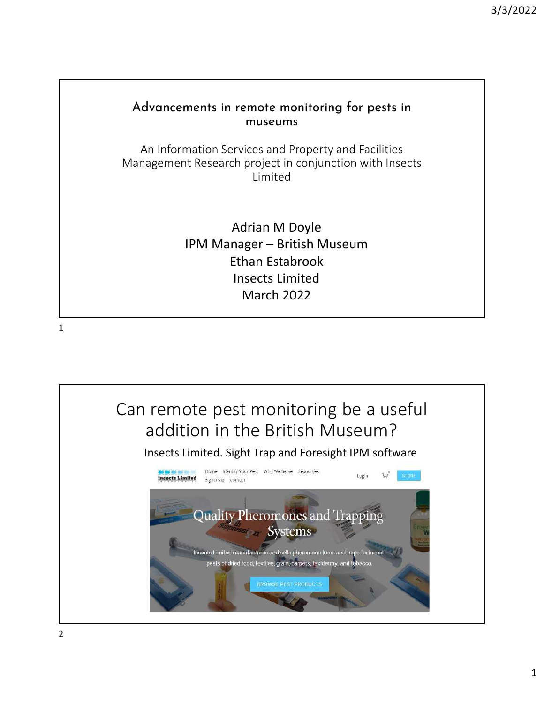## Advancements in remote monitoring for pests in museums An Information Services and Property and Facilities Management Research project in conjunction with Insects Limited Adrian M Doyle IPM Manager – British Museum Ethan Estabrook Insects Limited March 2022



2

1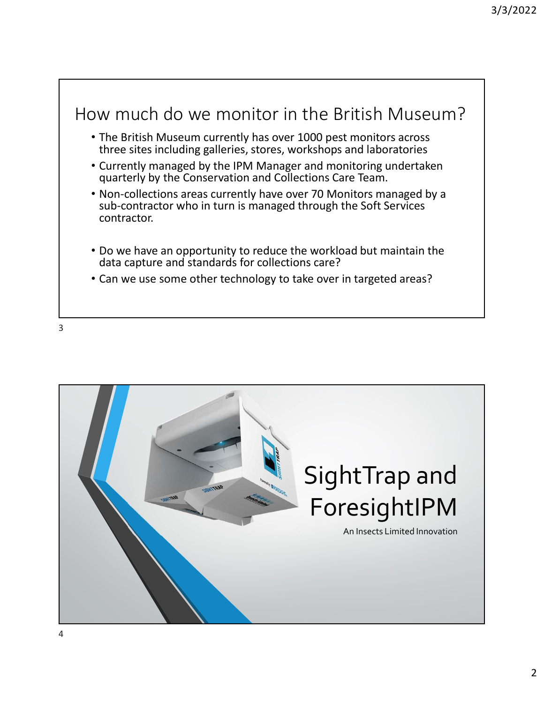## How much do we monitor in the British Museum?

- The British Museum currently has over 1000 pest monitors across three sites including galleries, stores, workshops and laboratories
- Currently managed by the IPM Manager and monitoring undertaken quarterly by the Conservation and Collections Care Team.
- Non-collections areas currently have over 70 Monitors managed by a sub-contractor who in turn is managed through the Soft Services contractor.
- Do we have an opportunity to reduce the workload but maintain the data capture and standards for collections care?
- Can we use some other technology to take over in targeted areas?

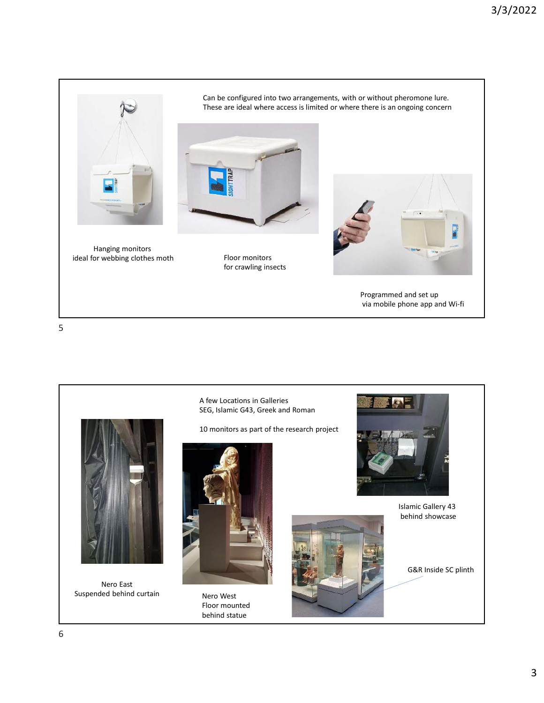

Hanging monitors ideal for webbing clothes moth Floor monitors

Can be configured into two arrangements, with or without pheromone lure. These are ideal where access is limited or where there is an ongoing concern



for crawling insects



Programmed and set up via mobile phone app and Wi-fi

5

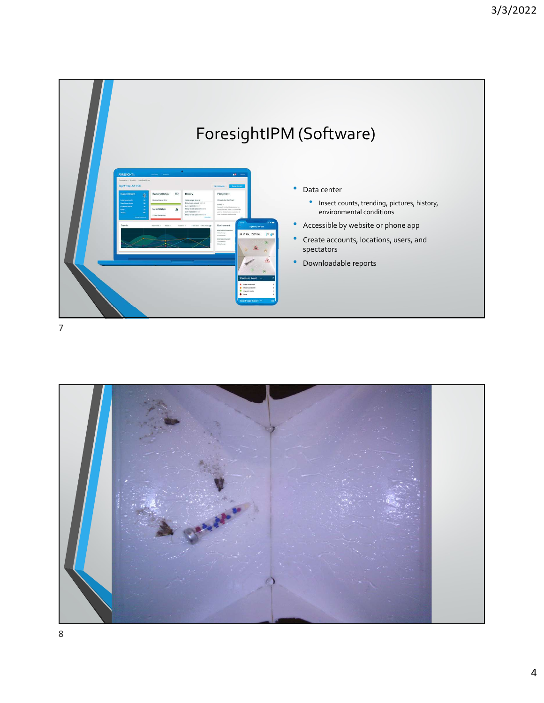

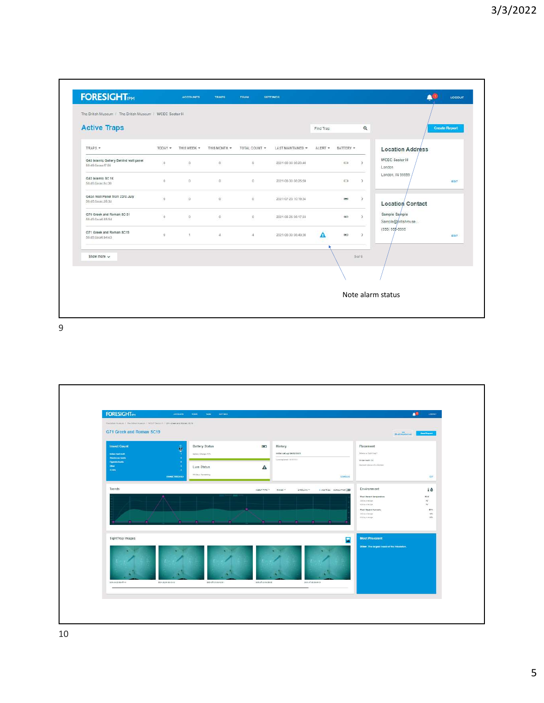

9